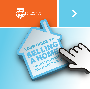

YOUR GUIDE TO

 $\frac{1}{\sqrt{2}}$ 

**A checklist for SELLING a** 

**HOUSE OR APARTMENT IN NSW.** 

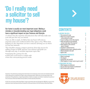# **'Do I really need a solicitor to sell my house'?**

#### **Our home is usually our most important asset. Making a mistake or misunderstanding your legal obligations could have a significant impact on your finances and lifestyle.**

A solicitor has the expertise and education that will help make sure your sale goes the way you intend.

Once an offer is made, it's likely that any buyer will want to negotiate terms and conditions before they agree to buy. When that happens it's also important you have someone advising you on what's in your best interests.

This checklist answers common questions about the process for selling a home in NSW and how your solicitor will guide you through each step. It includes important topics like:

- preparing the contract for sale
- what laws you'll need to comply with
- how the conveyancing process works.

**ContentS**

#### **BEFORE YOU SELL 3**

| $\blacktriangleright$ The contract for sale                     | 3 |
|-----------------------------------------------------------------|---|
| $\blacktriangleright$ What do you need to include               |   |
| in the contract for sale?                                       | 3 |
| $\blacktriangleright$ If you're selling a strata title property | 3 |
| $\blacktriangleright$ What warranties are you deemed            |   |
| to have made about the property?                                | 4 |
| $\blacktriangleright$ What happens if the contract              |   |
| doesn't comply?                                                 | 4 |
| Standard or tailored terms?                                     | 4 |
| ▶ Selling by private treaty v selling by auction                | 5 |
| $\blacktriangleright$ What's included in the sale?              | 5 |
| Agent's fees                                                    | 5 |
| <b>EXCHANGING CONTRACTS</b>                                     | 6 |
| $\blacktriangleright$ What is exchange?                         | 6 |
| $\blacktriangleright$ The deposit                               | 6 |
| Stamp Duty, GST and CGT                                         | 6 |
| • What happens if a buyer wants to get in early?                | 6 |
| <b>FINALISING THE SALE</b>                                      | 7 |
| $\blacktriangleright$ What happens at settlement                | 7 |
| Do you need to be present at settlement?                        | 7 |
| $\blacktriangleright$ Get in touch with a solicitor             | 7 |
|                                                                 |   |

THE LAW SOCIETY OF NEW SOUTH WALES



© 2012 The Law Society of New South Wales. Except as permitted under the Copyright Act 1968 (Cth), no part of this publication may be reproduced without the specific written permission of the Law Society of New South Wales.

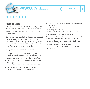<span id="page-2-0"></span>

**A checklist for selling a house or apartment in New South Wales**



# **Before you SELL**

#### **The contract for sale**

The first thing you need to do if you're selling your house or apartment is to prepare a contract for sale. Putting your house on the market without having a proper contract is an offence under NSW law and could lead to you being fined.

#### **What do you need to include in the contract for sale?**

The law says that all sellers must include certain information in the contract for sale and must also make certain promises (known legally as 'warranties') about the property they're selling. These obligations are known as the **Vendor Disclosure Requirements**.

The most common documents you may need to include with the contract are:

- a zoning certificate. Often known as a 'section 149 certificate' this is issued by local council and shows planning controls and other things which may affect the property, such as any proposed road widening
- a drainage diagram. This shows the location of any sewer lines
- • a copy of the **certificate of title** confirming that you own the property
- • copies of any documents creating **easements, rights of way, restrictions** or **covenants**.

You should also talk to your solicitor about whether you should include:

- an identification survey
- a building certificate, and
- a home owners warranty insurance certificate.

# **If you're selling a strata title property**

Most apartments in NSW are strata title. If you're selling a strata title property, you'll also need to include:

- • a copy of the **property certificate for the lot and common property**
- a copy of the **strata plan** showing the lot
- • a copy of any change of **by-law** affecting the use of common property.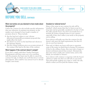<span id="page-3-0"></span>

# **BEFORE YOU SELL CONTINUED**

#### **What warranties are you deemed to have made about the property?**

Unless the contract for sale includes specific information that says otherwise, by putting your property on the market you're deemed to have made a number of promises about it. These include:

- that the land isn't subject to any 'adverse affectation'(essentially government proposals that might affect the land)
- that there's no sewer on the land that isn't shown in the drainage diagram
- that the zoning certificate gives an accurate picture of the zoning of the land at the date of the contract.

#### **What happens if the contract doesn't comply?**

If you don't comply with these Vendor Disclosure Requirements and there turns out to be a problem with the property, the buyer may be able to cancel the contract for sale, in which case you'll also have to return their deposit. This could be very serious if you've already bought a new home.

### **Standard or tailored terms?**

Many of the terms in any contract for sale will be 'standard', which means that they've been in use for a long time and are generally considered to be fair to both the seller and the buyer. You don't necessarily have to include all of these standard terms in your contract, especially if they don't reflect your needs or the property you're selling.

Your solicitor will make sure that the contract for sale doesn't only meet the legal requirements, but that it's also in your best interests.

That said, it's likely any buyer will want to negotiate some of the terms on which they're buying. For instance, if they're also selling a home, they may want a longer or shorter settlement period than normal. Alternatively, they may want to make sure certain items, such as the blinds, are included as 'fixtures'.

Your solicitor will continue to negotiate with the buyer's solicitor to make sure that you still sell on your terms. This will include working out a time to 'settle' the sale, which is when you'll be paid the balance owing.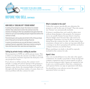

# **BEFORE YOU SELL CONTINUED**

# **HOW DOES A 'COOLING OFF' PERIOD WORK?**

A cooling off period gives a buyer the chance to consider whether they really want to enter the contract once the emotion of making an offer has subsided (it also gives them the chance to carry out any building and pest inspections before the contract is final).

Potential buyers will usually only forfeit 0.25% of the purchase price if they pull out during the cooling off period.

In some circumstances you can ask the buyer to waive the cooling off period, especially if they have a solicior acting for them and have done their searches and inspections.

### **Selling by private treaty v selling by auction**

Most properties in NSW are sold by private treaty. This is where you advertise the amount you'd like to achieve for your property and then negotiate the final price with any prospective buyers.

If you choose to sell by auction, the contract won't include a 'cooling off' period. Instead, if the property is 'on the market' (ie your reserve has been met) and the hammer comes down, the winning bidder is bound to go through with their purchase (unless, of course, there is a serious problem with the contract for sale).

#### **What's included in the sale?**

Unless the contract specifically says otherwise the property is sold 'in the state it's found'. That also means any 'fixtures' are automatically included.

A fixture is anything that can't easily be taken away without doing damage to the property. For instance, stoves are usually fixtures because they're wired in, whereas fridges aren't because they only need to be unplugged. Sometimes you may be able to exclude a fixture from the contract for sale. At other times, what constitutes a fixture isn't so clear cut (eg removable floor coverings or an above-ground pool) and this can lead to a dispute between you and the buyer.

Where anything is in doubt, it should be expressly included in the contract for sale.

#### **Agent's fees**

One cost you should factor in to the sale is the agent's commission. It's usually a good idea to shop around and compare commission rates of various agents as well as the services being provided. Agents are required by law to give you a written guide to their fees, commissions and expenses before you sign an agreement with them.

You should have your solicitor review the agent's agreement before you sign it.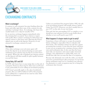

# <span id="page-5-0"></span>**Exchanging contracts**

#### **What is exchange?**

A contract to sell a property becomes binding when the buyer and seller sign their copy of the contract for sale and then 'exchange' them. At exchange, the buyer also usually hands over a deposit (usually 10%).

At an auction, exchange happens immediately after the winning bid is accepted. Your solicitor or agent will usually effect contract exchange by delivering your signed contract to the buyer and collecting the buyer's signed copy as well as the deposit. However, it's not unusual to exchange contracts by mail.

# **The deposit**

Often after exchange your real estate agent will invest the deposit in an interest bearing account until settlement (your solicitor may do this if you don't have an agent). When the sale is finalised any interest earned on the deposit will then usually be split equally between you and the buyer.

# **Stamp Duty, GST and CGT**

In NSW only buyers have to pay stamp duty on the sale of a property. However, there may be other taxes you'll need to pay, particularly if you're selling an investment property.

GST doesn't generally apply to the sale of residential property. But you will be liable for GST if the property you're selling has a commercial use (and in some other limited circumstances).

Unless you purchased the property before 1985, the sale of an investment property will usually attract Capital Gains Tax (CGT). However, you don't usually have to pay CGT on the sale of your own home.

That said, the law surrounding CGT is complex so you should see your solicitor if you're in any doubt about whether or not you'll need to pay CGT.

### **What happens if a buyer wants to get in early?**

Sometimes a buyer will want to occupy the property before settlement, especially if they've already sold their home. The standard contract for sale has a clause governing this scenario. It says that the buyer will have to pay you an occupation fee, creating a licence which runs until settlement date. It also says that the buyer must take out insurance and cannot make structural changes. Any adjustments to utility bills, taxes, etc should also take into account the date of occupation.

Because risk ultimately rests with the seller, you should never let a potential buyer take possession of your house before settlement until you've consulted your solicitor. An alternative to early occupation may be to bring the settlement date forward.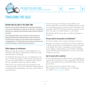<span id="page-6-0"></span>



# **FINALISING THE SALE**

# **Buying and selling at the same time**

Chances are you may be looking to buy a new house at the same time as you're selling your current one. In that case, it's important that you try to make sure the settlement date in both contracts is the same.

If the settlement date on the contract for the house you're buying falls before the settlement date on the contract for the house you're selling, you may need to take out expensive 'bridging finance'. If it's the other way around you may be forced to live with friends or family until you can move in.

#### **What happens at settlement**

When you sign the contract you'll usually agree to a settlement day. Most commonly this will be six weeks after the date of exchange.

At settlement the buyer pays you everything they owe you to 'settle' the purchase. This amount will take into account any utility bills you've already paid as well as any tax calculations that your solicitor makes.

If the buyer can't settle by the date stipulated in the contract for sale, you're often entitled to charge interest. In some limited circumstances, you may even be able to cancel the sale.

If you owe money on the home you're selling, your solicitor will talk to your bank or building society to work out exactly how much you need to pay to 'discharge' the mortgage. They'll let the buyer know this amount so that they can make out a bank cheque to your lender.

They'll also tell the buyer who you'd like the balance to be paid to.

### **Do you need to be present at settlement?**

You don't usually need to attend settlement in person.

Instead, your solicitor and the buyer's solicitor will meet to make sure they have everything they need for the sale to go ahead. If you have a mortgage over the property you're selling, a representative of your bank or building society will also attend settlement to receive any money owing on your loan.

# **Get in touch with a solicitor**

If you're thinking about selling a home, you should get in touch with your solicitor as soon as possible. They'll help talk you through the process and will be able to give you great advice.

If you don't yet have a solicitor, don't worry. We've made it easy to find one near you through our onlin[e 'Find a solicitor' s](http://www.lawsociety.com.au)ervice.